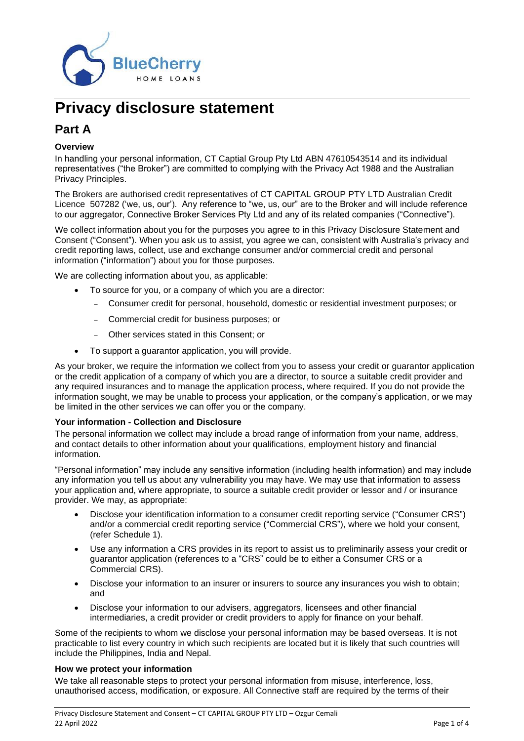

# **Privacy disclosure statement**

# **Part A**

### **Overview**

In handling your personal information, CT Captial Group Pty Ltd ABN 47610543514 and its individual representatives ("the Broker") are committed to complying with the Privacy Act 1988 and the Australian Privacy Principles.

The Brokers are authorised credit representatives of CT CAPITAL GROUP PTY LTD Australian Credit Licence 507282 ('we, us, our'). Any reference to "we, us, our" are to the Broker and will include reference to our aggregator, Connective Broker Services Pty Ltd and any of its related companies ("Connective").

We collect information about you for the purposes you agree to in this Privacy Disclosure Statement and Consent ("Consent"). When you ask us to assist, you agree we can, consistent with Australia's privacy and credit reporting laws, collect, use and exchange consumer and/or commercial credit and personal information ("information") about you for those purposes.

We are collecting information about you, as applicable:

- To source for you, or a company of which you are a director:
	- − Consumer credit for personal, household, domestic or residential investment purposes; or
	- − Commercial credit for business purposes; or
	- − Other services stated in this Consent; or
- To support a guarantor application, you will provide.

As your broker, we require the information we collect from you to assess your credit or guarantor application or the credit application of a company of which you are a director, to source a suitable credit provider and any required insurances and to manage the application process, where required. If you do not provide the information sought, we may be unable to process your application, or the company's application, or we may be limited in the other services we can offer you or the company.

#### **Your information - Collection and Disclosure**

The personal information we collect may include a broad range of information from your name, address, and contact details to other information about your qualifications, employment history and financial information.

"Personal information" may include any sensitive information (including health information) and may include any information you tell us about any vulnerability you may have. We may use that information to assess your application and, where appropriate, to source a suitable credit provider or lessor and / or insurance provider. We may, as appropriate:

- Disclose your identification information to a consumer credit reporting service ("Consumer CRS") and/or a commercial credit reporting service ("Commercial CRS"), where we hold your consent, (refer Schedule 1).
- Use any information a CRS provides in its report to assist us to preliminarily assess your credit or guarantor application (references to a "CRS" could be to either a Consumer CRS or a Commercial CRS).
- Disclose your information to an insurer or insurers to source any insurances you wish to obtain; and
- Disclose your information to our advisers, aggregators, licensees and other financial intermediaries, a credit provider or credit providers to apply for finance on your behalf.

Some of the recipients to whom we disclose your personal information may be based overseas. It is not practicable to list every country in which such recipients are located but it is likely that such countries will include the Philippines, India and Nepal.

#### **How we protect your information**

We take all reasonable steps to protect your personal information from misuse, interference, loss, unauthorised access, modification, or exposure. All Connective staff are required by the terms of their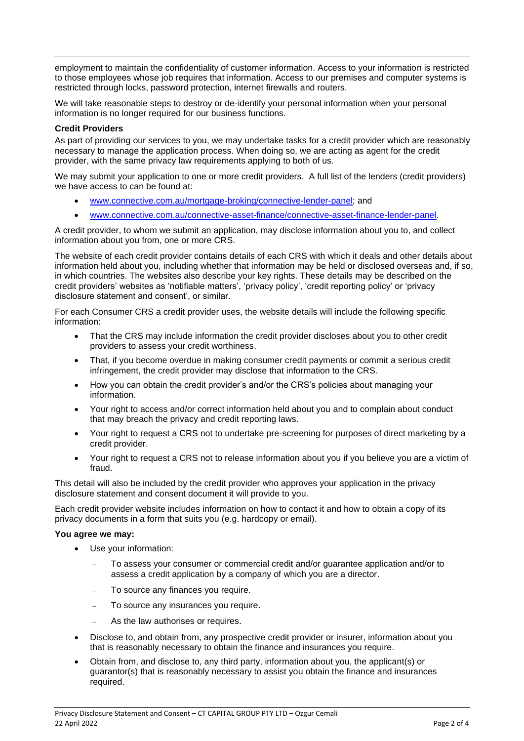employment to maintain the confidentiality of customer information. Access to your information is restricted to those employees whose job requires that information. Access to our premises and computer systems is restricted through locks, password protection, internet firewalls and routers.

We will take reasonable steps to destroy or de-identify your personal information when your personal information is no longer required for our business functions.

#### **Credit Providers**

As part of providing our services to you, we may undertake tasks for a credit provider which are reasonably necessary to manage the application process. When doing so, we are acting as agent for the credit provider, with the same privacy law requirements applying to both of us.

We may submit your application to one or more credit providers. A full list of the lenders (credit providers) we have access to can be found at:

- [www.connective.com.au/mortgage-broking/connective-lender-panel;](file:///C:/Users/erminia.doca/AppData/Local/Microsoft/Windows/INetCache/Content.Outlook/IPG30KEZ/www.connective.com.au/mortgage-broking/connective-lender-panel) and
- [www.connective.com.au/connective-asset-finance/connective-asset-finance-lender-panel.](http://www.connective.com.au/connective-asset-finance/connective-asset-finance-lender-panel)

A credit provider, to whom we submit an application, may disclose information about you to, and collect information about you from, one or more CRS.

The website of each credit provider contains details of each CRS with which it deals and other details about information held about you, including whether that information may be held or disclosed overseas and, if so, in which countries. The websites also describe your key rights. These details may be described on the credit providers' websites as 'notifiable matters', 'privacy policy', 'credit reporting policy' or 'privacy disclosure statement and consent', or similar.

For each Consumer CRS a credit provider uses, the website details will include the following specific information:

- That the CRS may include information the credit provider discloses about you to other credit providers to assess your credit worthiness.
- That, if you become overdue in making consumer credit payments or commit a serious credit infringement, the credit provider may disclose that information to the CRS.
- How you can obtain the credit provider's and/or the CRS's policies about managing your information.
- Your right to access and/or correct information held about you and to complain about conduct that may breach the privacy and credit reporting laws.
- Your right to request a CRS not to undertake pre-screening for purposes of direct marketing by a credit provider.
- Your right to request a CRS not to release information about you if you believe you are a victim of fraud.

This detail will also be included by the credit provider who approves your application in the privacy disclosure statement and consent document it will provide to you.

Each credit provider website includes information on how to contact it and how to obtain a copy of its privacy documents in a form that suits you (e.g. hardcopy or email).

#### **You agree we may:**

- Use your information:
	- − To assess your consumer or commercial credit and/or guarantee application and/or to assess a credit application by a company of which you are a director.
	- To source any finances you require.
	- To source any insurances you require.
	- As the law authorises or requires.
- Disclose to, and obtain from, any prospective credit provider or insurer, information about you that is reasonably necessary to obtain the finance and insurances you require.
- Obtain from, and disclose to, any third party, information about you, the applicant(s) or guarantor(s) that is reasonably necessary to assist you obtain the finance and insurances required.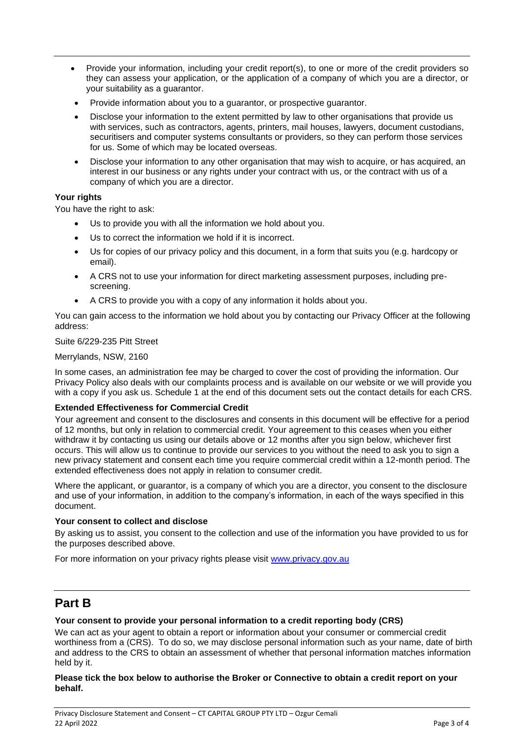- Provide your information, including your credit report(s), to one or more of the credit providers so they can assess your application, or the application of a company of which you are a director, or your suitability as a guarantor.
- Provide information about you to a guarantor, or prospective guarantor.
- Disclose your information to the extent permitted by law to other organisations that provide us with services, such as contractors, agents, printers, mail houses, lawyers, document custodians, securitisers and computer systems consultants or providers, so they can perform those services for us. Some of which may be located overseas.
- Disclose your information to any other organisation that may wish to acquire, or has acquired, an interest in our business or any rights under your contract with us, or the contract with us of a company of which you are a director.

### **Your rights**

You have the right to ask:

- Us to provide you with all the information we hold about you.
- Us to correct the information we hold if it is incorrect.
- Us for copies of our privacy policy and this document, in a form that suits you (e.g. hardcopy or email).
- A CRS not to use your information for direct marketing assessment purposes, including prescreening.
- A CRS to provide you with a copy of any information it holds about you.

You can gain access to the information we hold about you by contacting our Privacy Officer at the following address:

#### Suite 6/229-235 Pitt Street

#### Merrylands, NSW, 2160

In some cases, an administration fee may be charged to cover the cost of providing the information. Our Privacy Policy also deals with our complaints process and is available on our website or we will provide you with a copy if you ask us. Schedule 1 at the end of this document sets out the contact details for each CRS.

#### **Extended Effectiveness for Commercial Credit**

Your agreement and consent to the disclosures and consents in this document will be effective for a period of 12 months, but only in relation to commercial credit. Your agreement to this ceases when you either withdraw it by contacting us using our details above or 12 months after you sign below, whichever first occurs. This will allow us to continue to provide our services to you without the need to ask you to sign a new privacy statement and consent each time you require commercial credit within a 12-month period. The extended effectiveness does not apply in relation to consumer credit.

Where the applicant, or guarantor, is a company of which you are a director, you consent to the disclosure and use of your information, in addition to the company's information, in each of the ways specified in this document.

#### **Your consent to collect and disclose**

By asking us to assist, you consent to the collection and use of the information you have provided to us for the purposes described above.

For more information on your privacy rights please visit [www.privacy.gov.au](http://www.privacy.gov.au/)

# **Part B**

#### **Your consent to provide your personal information to a credit reporting body (CRS)**

We can act as your agent to obtain a report or information about your consumer or commercial credit worthiness from a (CRS). To do so, we may disclose personal information such as your name, date of birth and address to the CRS to obtain an assessment of whether that personal information matches information held by it.

**Please tick the box below to authorise the Broker or Connective to obtain a credit report on your behalf.**